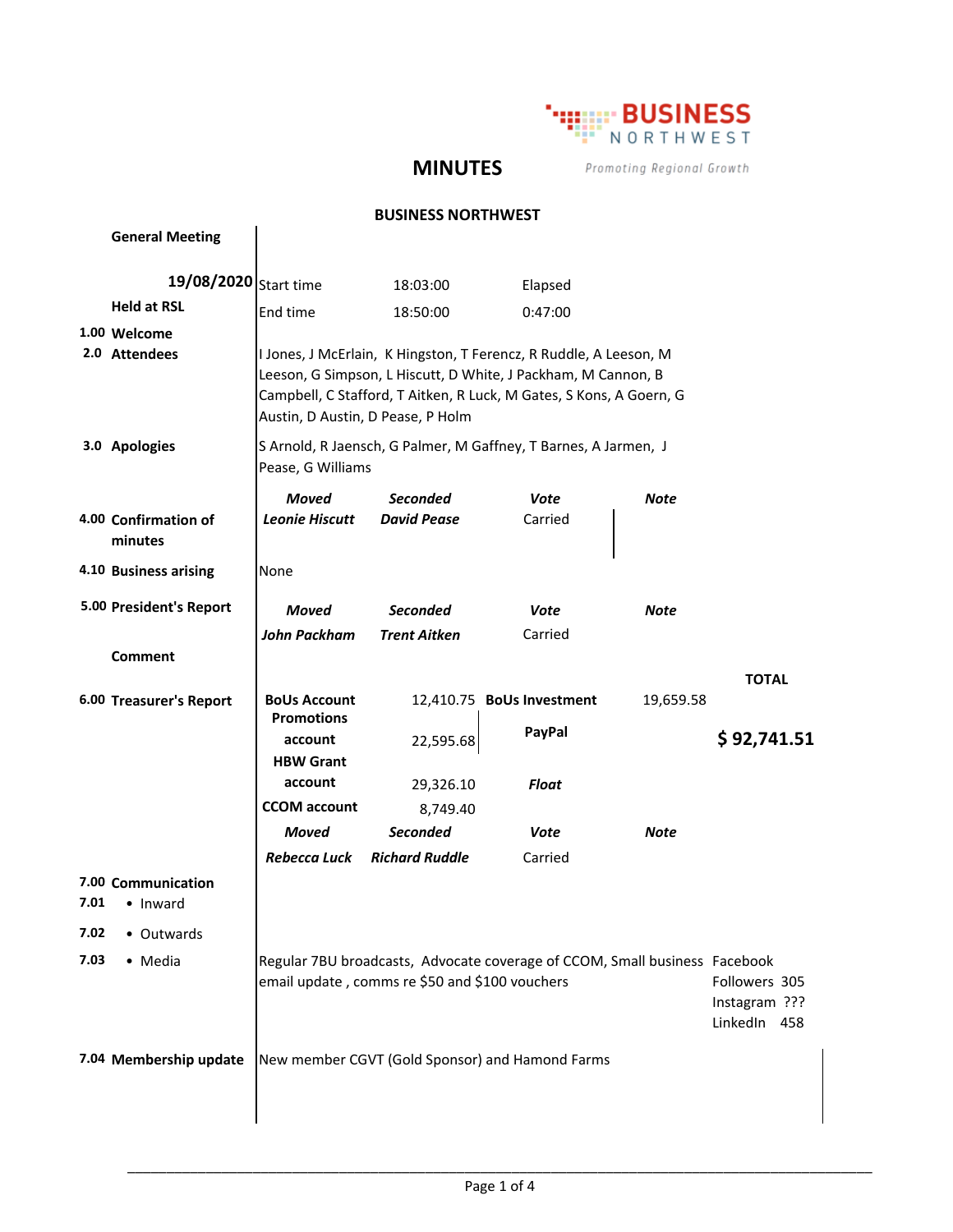

## **MINUTES**

Promoting Regional Growth

#### **BUSINESS NORTHWEST**

|              | <b>General Meeting</b>                       |                                                                                                                                                                                                                                                |                                       |                                                 |           |              |
|--------------|----------------------------------------------|------------------------------------------------------------------------------------------------------------------------------------------------------------------------------------------------------------------------------------------------|---------------------------------------|-------------------------------------------------|-----------|--------------|
|              | 19/08/2020 Start time                        |                                                                                                                                                                                                                                                | 18:03:00                              | Elapsed                                         |           |              |
|              | <b>Held at RSL</b>                           | End time                                                                                                                                                                                                                                       | 18:50:00                              | 0:47:00                                         |           |              |
|              | 1.00 Welcome                                 |                                                                                                                                                                                                                                                |                                       |                                                 |           |              |
|              | 2.0 Attendees                                | I Jones, J McErlain, K Hingston, T Ferencz, R Ruddle, A Leeson, M<br>Leeson, G Simpson, L Hiscutt, D White, J Packham, M Cannon, B<br>Campbell, C Stafford, T Aitken, R Luck, M Gates, S Kons, A Goern, G<br>Austin, D Austin, D Pease, P Holm |                                       |                                                 |           |              |
|              | 3.0 Apologies                                | S Arnold, R Jaensch, G Palmer, M Gaffney, T Barnes, A Jarmen, J<br>Pease, G Williams                                                                                                                                                           |                                       |                                                 |           |              |
|              | 4.00 Confirmation of                         | Moved<br><b>Leonie Hiscutt</b>                                                                                                                                                                                                                 | <b>Seconded</b><br><b>David Pease</b> | Vote<br>Carried                                 | Note      |              |
|              | minutes                                      |                                                                                                                                                                                                                                                |                                       |                                                 |           |              |
|              | 4.10 Business arising                        | None                                                                                                                                                                                                                                           |                                       |                                                 |           |              |
|              | 5.00 President's Report                      | Moved                                                                                                                                                                                                                                          | <b>Seconded</b>                       | Vote                                            | Note      |              |
|              |                                              | John Packham                                                                                                                                                                                                                                   | <b>Trent Aitken</b>                   | Carried                                         |           |              |
|              | Comment                                      |                                                                                                                                                                                                                                                |                                       |                                                 |           |              |
|              | 6.00 Treasurer's Report                      | <b>BoUs Account</b><br><b>Promotions</b>                                                                                                                                                                                                       |                                       | 12,410.75 BoUs Investment                       | 19,659.58 | <b>TOTAL</b> |
|              |                                              | account<br><b>HBW Grant</b>                                                                                                                                                                                                                    | 22,595.68                             | PayPal                                          |           | \$92,741.51  |
|              |                                              | account                                                                                                                                                                                                                                        | 29,326.10                             | Float                                           |           |              |
|              |                                              | <b>CCOM</b> account                                                                                                                                                                                                                            | 8,749.40                              |                                                 |           |              |
|              |                                              | Moved                                                                                                                                                                                                                                          | <b>Seconded</b>                       | Vote                                            | Note      |              |
| 7.01<br>7.02 | 7.00 Communication<br>• Inward<br>• Outwards | Rebecca Luck                                                                                                                                                                                                                                   | <b>Richard Ruddle</b>                 | Carried                                         |           |              |
| 7.03         | • Media                                      |                                                                                                                                                                                                                                                |                                       |                                                 |           |              |
|              |                                              | Regular 7BU broadcasts, Advocate coverage of CCOM, Small business Facebook<br>email update, comms re \$50 and \$100 vouchers<br>Followers 305<br>Instagram ???<br>LinkedIn 458                                                                 |                                       |                                                 |           |              |
|              | 7.04 Membership update                       |                                                                                                                                                                                                                                                |                                       | New member CGVT (Gold Sponsor) and Hamond Farms |           |              |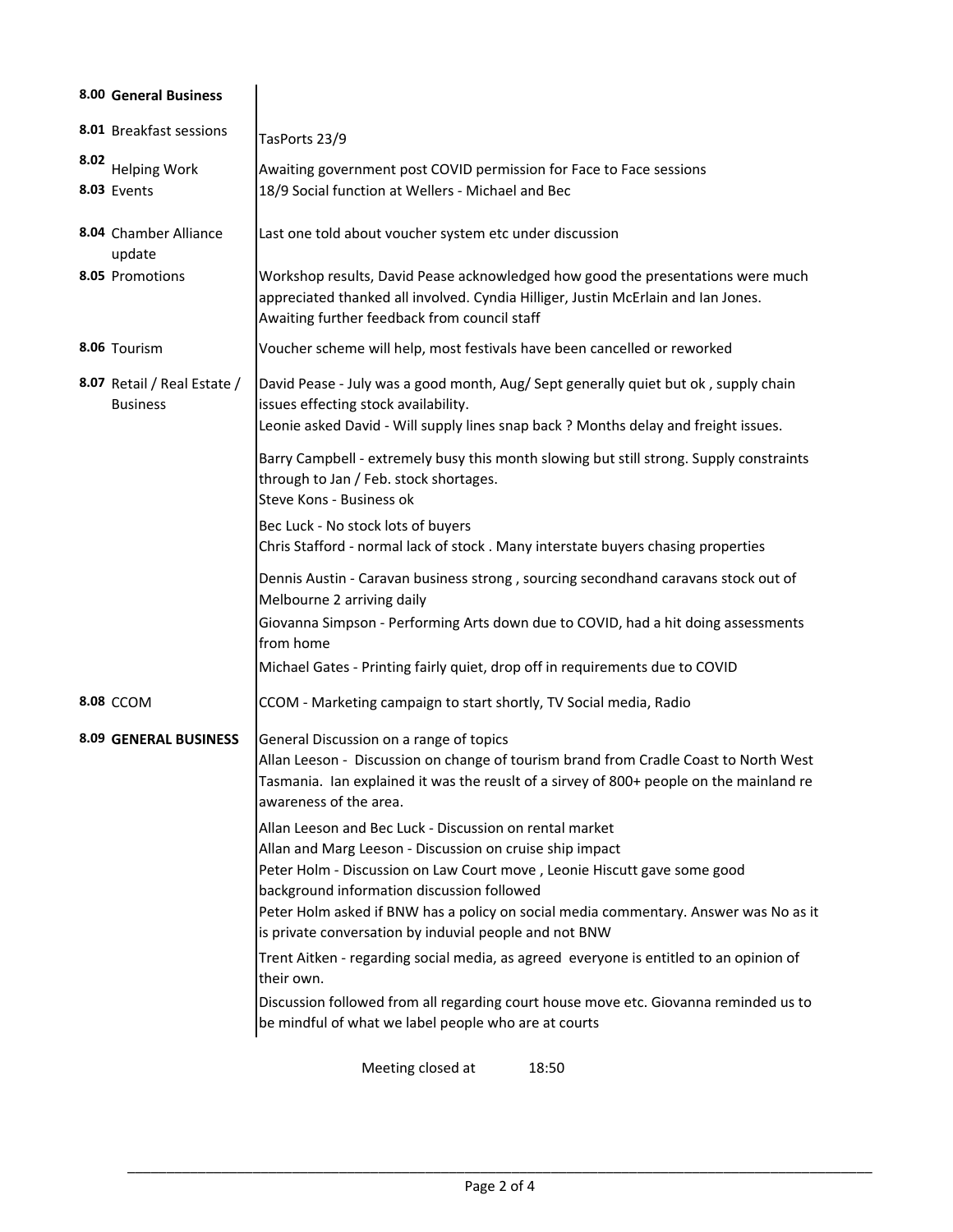|                              | 8.00 General Business                          |                                                                                                                                                                                                                                                                                                                                                                                                 |  |  |  |  |  |
|------------------------------|------------------------------------------------|-------------------------------------------------------------------------------------------------------------------------------------------------------------------------------------------------------------------------------------------------------------------------------------------------------------------------------------------------------------------------------------------------|--|--|--|--|--|
|                              | 8.01 Breakfast sessions                        | TasPorts 23/9                                                                                                                                                                                                                                                                                                                                                                                   |  |  |  |  |  |
| 8.02                         | <b>Helping Work</b><br>8.03 Events             | Awaiting government post COVID permission for Face to Face sessions<br>18/9 Social function at Wellers - Michael and Bec                                                                                                                                                                                                                                                                        |  |  |  |  |  |
|                              | 8.04 Chamber Alliance<br>update                | Last one told about voucher system etc under discussion                                                                                                                                                                                                                                                                                                                                         |  |  |  |  |  |
|                              | 8.05 Promotions                                | Workshop results, David Pease acknowledged how good the presentations were much<br>appreciated thanked all involved. Cyndia Hilliger, Justin McErlain and Ian Jones.<br>Awaiting further feedback from council staff                                                                                                                                                                            |  |  |  |  |  |
|                              | 8.06 Tourism                                   | Voucher scheme will help, most festivals have been cancelled or reworked                                                                                                                                                                                                                                                                                                                        |  |  |  |  |  |
|                              | 8.07 Retail / Real Estate /<br><b>Business</b> | David Pease - July was a good month, Aug/ Sept generally quiet but ok, supply chain<br>issues effecting stock availability.<br>Leonie asked David - Will supply lines snap back ? Months delay and freight issues.                                                                                                                                                                              |  |  |  |  |  |
|                              |                                                | Barry Campbell - extremely busy this month slowing but still strong. Supply constraints<br>through to Jan / Feb. stock shortages.<br>Steve Kons - Business ok                                                                                                                                                                                                                                   |  |  |  |  |  |
|                              |                                                | Bec Luck - No stock lots of buyers<br>Chris Stafford - normal lack of stock. Many interstate buyers chasing properties                                                                                                                                                                                                                                                                          |  |  |  |  |  |
|                              |                                                | Dennis Austin - Caravan business strong, sourcing secondhand caravans stock out of<br>Melbourne 2 arriving daily                                                                                                                                                                                                                                                                                |  |  |  |  |  |
|                              |                                                | Giovanna Simpson - Performing Arts down due to COVID, had a hit doing assessments<br>from home                                                                                                                                                                                                                                                                                                  |  |  |  |  |  |
|                              |                                                | Michael Gates - Printing fairly quiet, drop off in requirements due to COVID                                                                                                                                                                                                                                                                                                                    |  |  |  |  |  |
|                              | <b>8.08 CCOM</b>                               | CCOM - Marketing campaign to start shortly, TV Social media, Radio                                                                                                                                                                                                                                                                                                                              |  |  |  |  |  |
| <b>8.09 GENERAL BUSINESS</b> |                                                | General Discussion on a range of topics<br>Allan Leeson - Discussion on change of tourism brand from Cradle Coast to North West<br>Tasmania. Ian explained it was the reuslt of a sirvey of 800+ people on the mainland re<br>awareness of the area.                                                                                                                                            |  |  |  |  |  |
|                              |                                                | Allan Leeson and Bec Luck - Discussion on rental market<br>Allan and Marg Leeson - Discussion on cruise ship impact<br>Peter Holm - Discussion on Law Court move, Leonie Hiscutt gave some good<br>background information discussion followed<br>Peter Holm asked if BNW has a policy on social media commentary. Answer was No as it<br>is private conversation by induvial people and not BNW |  |  |  |  |  |
|                              |                                                | Trent Aitken - regarding social media, as agreed everyone is entitled to an opinion of                                                                                                                                                                                                                                                                                                          |  |  |  |  |  |
|                              |                                                | their own.<br>Discussion followed from all regarding court house move etc. Giovanna reminded us to<br>be mindful of what we label people who are at courts                                                                                                                                                                                                                                      |  |  |  |  |  |
|                              |                                                | Meeting closed at<br>18:50                                                                                                                                                                                                                                                                                                                                                                      |  |  |  |  |  |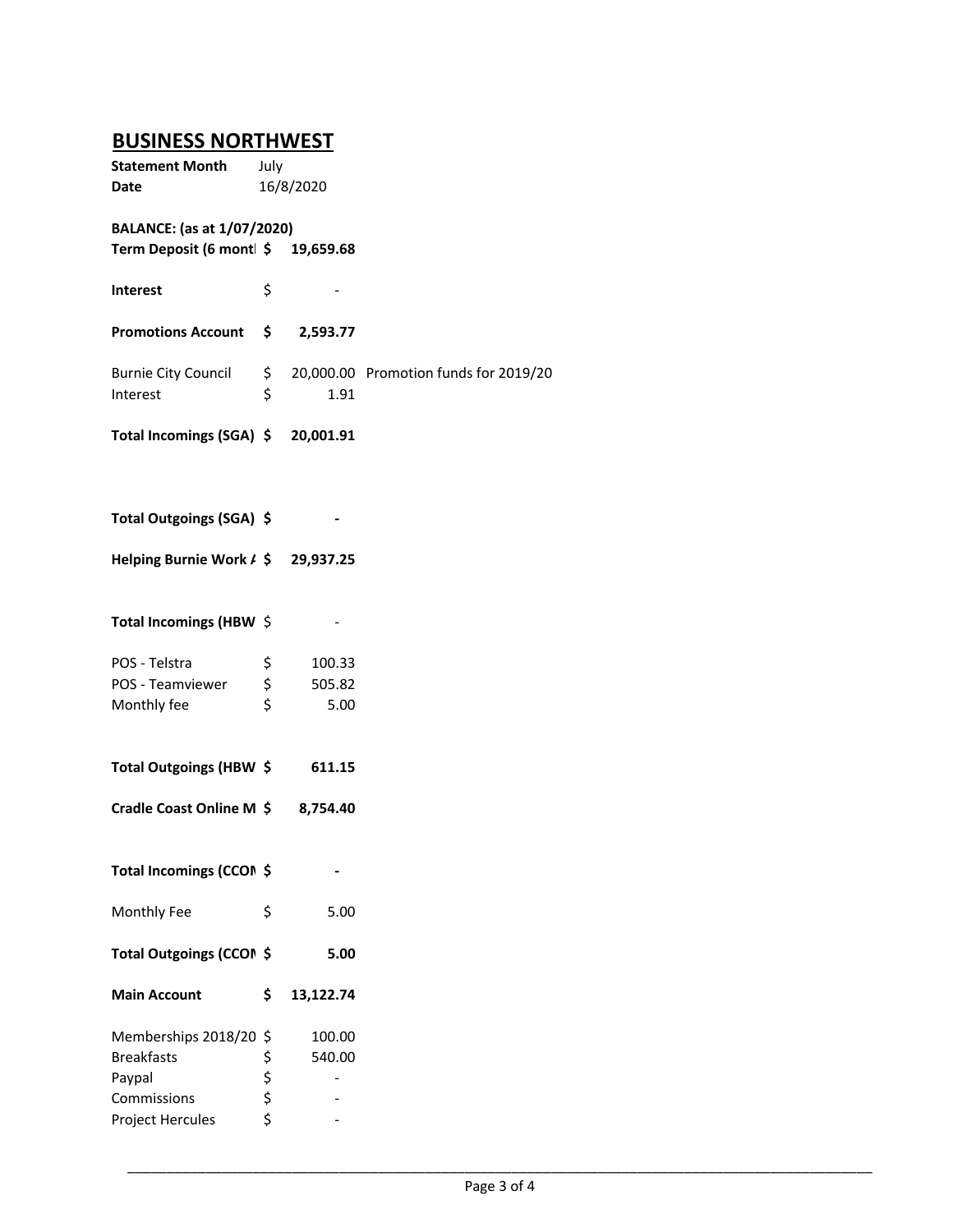# **BUSINESS NORTHWEST**

| <b>Statement Month</b><br>Date                                    | July        | 16/8/2020  |                                       |
|-------------------------------------------------------------------|-------------|------------|---------------------------------------|
|                                                                   |             |            |                                       |
| BALANCE: (as at 1/07/2020)<br>Term Deposit (6 mont   \$ 19,659.68 |             |            |                                       |
| <b>Interest</b>                                                   | \$          |            |                                       |
| <b>Promotions Account</b>                                         |             | \$2,593.77 |                                       |
| <b>Burnie City Council</b><br>Interest                            | \$<br>\$    | 1.91       | 20,000.00 Promotion funds for 2019/20 |
| Total Incomings (SGA) \$ 20,001.91                                |             |            |                                       |
| Total Outgoings (SGA) \$                                          |             |            |                                       |
| Helping Burnie Work / \$29,937.25                                 |             |            |                                       |
| Total Incomings (HBW \$                                           |             |            |                                       |
| POS - Telstra                                                     | \$          | 100.33     |                                       |
| POS - Teamviewer                                                  | \$          | 505.82     |                                       |
| Monthly fee                                                       | \$          | 5.00       |                                       |
| Total Outgoings (HBW \$                                           |             | 611.15     |                                       |
| Cradle Coast Online M \$                                          |             | 8,754.40   |                                       |
| Total Incomings (CCON \$                                          |             |            |                                       |
| Monthly Fee                                                       | \$          | 5.00       |                                       |
| Total Outgoings (CCON \$                                          |             | 5.00       |                                       |
| <b>Main Account</b>                                               | \$          | 13,122.74  |                                       |
| Memberships 2018/20                                               | \$          | 100.00     |                                       |
| <b>Breakfasts</b>                                                 |             | 540.00     |                                       |
| Paypal                                                            | \$ \$ \$ \$ |            |                                       |
| Commissions                                                       |             |            |                                       |
| Project Hercules                                                  |             |            |                                       |